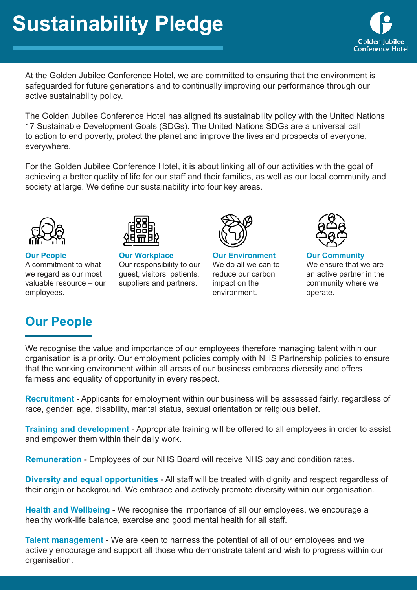**Golden Jubilee Conference Hotel** 

At the Golden Jubilee Conference Hotel, we are committed to ensuring that the environment is safeguarded for future generations and to continually improving our performance through our active sustainability policy.

The Golden Jubilee Conference Hotel has aligned its sustainability policy with the United Nations 17 Sustainable Development Goals (SDGs). The United Nations SDGs are a universal call to action to end poverty, protect the planet and improve the lives and prospects of everyone, everywhere.

For the Golden Jubilee Conference Hotel, it is about linking all of our activities with the goal of achieving a better quality of life for our staff and their families, as well as our local community and society at large. We define our sustainability into four key areas.





**Our People**  A commitment to what we regard as our most valuable resource – our employees.

**Our Workplace**  Our responsibility to our guest, visitors, patients, suppliers and partners.



**Our Environment** We do all we can to reduce our carbon impact on the environment.



**Our Community** We ensure that we are an active partner in the community where we operate.

## **Our People**

We recognise the value and importance of our employees therefore managing talent within our organisation is a priority. Our employment policies comply with NHS Partnership policies to ensure that the working environment within all areas of our business embraces diversity and offers fairness and equality of opportunity in every respect.

**Recruitment** - Applicants for employment within our business will be assessed fairly, regardless of race, gender, age, disability, marital status, sexual orientation or religious belief.

**Training and development** - Appropriate training will be offered to all employees in order to assist and empower them within their daily work.

**Remuneration** - Employees of our NHS Board will receive NHS pay and condition rates.

**Diversity and equal opportunities** - All staff will be treated with dignity and respect regardless of their origin or background. We embrace and actively promote diversity within our organisation.

**Health and Wellbeing** - We recognise the importance of all our employees, we encourage a healthy work-life balance, exercise and good mental health for all staff.

**Talent management** - We are keen to harness the potential of all of our employees and we actively encourage and support all those who demonstrate talent and wish to progress within our organisation.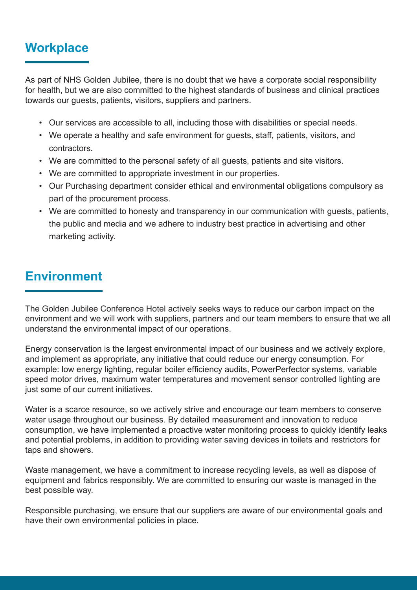## **Workplace**

As part of NHS Golden Jubilee, there is no doubt that we have a corporate social responsibility for health, but we are also committed to the highest standards of business and clinical practices towards our guests, patients, visitors, suppliers and partners.

- Our services are accessible to all, including those with disabilities or special needs.
- We operate a healthy and safe environment for guests, staff, patients, visitors, and contractors.
- We are committed to the personal safety of all guests, patients and site visitors.
- We are committed to appropriate investment in our properties.
- Our Purchasing department consider ethical and environmental obligations compulsory as part of the procurement process.
- We are committed to honesty and transparency in our communication with guests, patients, the public and media and we adhere to industry best practice in advertising and other marketing activity.

## **Environment**

The Golden Jubilee Conference Hotel actively seeks ways to reduce our carbon impact on the environment and we will work with suppliers, partners and our team members to ensure that we all understand the environmental impact of our operations.

Energy conservation is the largest environmental impact of our business and we actively explore, and implement as appropriate, any initiative that could reduce our energy consumption. For example: low energy lighting, regular boiler efficiency audits, PowerPerfector systems, variable speed motor drives, maximum water temperatures and movement sensor controlled lighting are just some of our current initiatives.

Water is a scarce resource, so we actively strive and encourage our team members to conserve water usage throughout our business. By detailed measurement and innovation to reduce consumption, we have implemented a proactive water monitoring process to quickly identify leaks and potential problems, in addition to providing water saving devices in toilets and restrictors for taps and showers.

Waste management, we have a commitment to increase recycling levels, as well as dispose of equipment and fabrics responsibly. We are committed to ensuring our waste is managed in the best possible way.

Responsible purchasing, we ensure that our suppliers are aware of our environmental goals and have their own environmental policies in place.